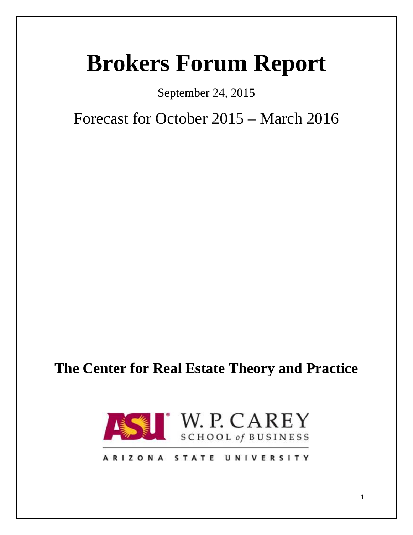# **Brokers Forum Report**

September 24, 2015

Forecast for October 2015 – March 2016

## **The Center for Real Estate Theory and Practice**



## ARIZONA STATE UNIVERSITY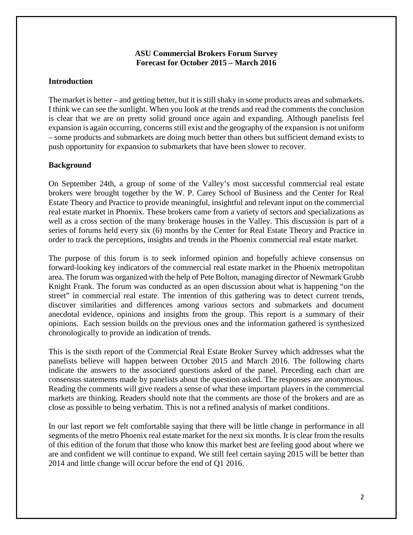#### **ASU Commercial Brokers Forum Survey Forecast for October 2015 – March 2016**

#### **Introduction**

The market is better – and getting better, but it is still shaky in some products areas and submarkets. I think we can see the sunlight. When you look at the trends and read the comments the conclusion is clear that we are on pretty solid ground once again and expanding. Although panelists feel expansion is again occurring, concerns still exist and the geography of the expansion is not uniform – some products and submarkets are doing much better than others but sufficient demand exists to push opportunity for expansion to submarkets that have been slower to recover.

#### **Background**

On September 24th, a group of some of the Valley's most successful commercial real estate brokers were brought together by the W. P. Carey School of Business and the Center for Real Estate Theory and Practice to provide meaningful, insightful and relevant input on the commercial real estate market in Phoenix. These brokers came from a variety of sectors and specializations as well as a cross section of the many brokerage houses in the Valley. This discussion is part of a series of forums held every six (6) months by the Center for Real Estate Theory and Practice in order to track the perceptions, insights and trends in the Phoenix commercial real estate market.

The purpose of this forum is to seek informed opinion and hopefully achieve consensus on forward-looking key indicators of the commercial real estate market in the Phoenix metropolitan area. The forum was organized with the help of Pete Bolton, managing director of Newmark Grubb Knight Frank. The forum was conducted as an open discussion about what is happening "on the street" in commercial real estate. The intention of this gathering was to detect current trends, discover similarities and differences among various sectors and submarkets and document anecdotal evidence, opinions and insights from the group. This report is a summary of their opinions. Each session builds on the previous ones and the information gathered is synthesized chronologically to provide an indication of trends.

This is the sixth report of the Commercial Real Estate Broker Survey which addresses what the panelists believe will happen between October 2015 and March 2016. The following charts indicate the answers to the associated questions asked of the panel. Preceding each chart are consensus statements made by panelists about the question asked. The responses are anonymous. Reading the comments will give readers a sense of what these important players in the commercial markets are thinking. Readers should note that the comments are those of the brokers and are as close as possible to being verbatim. This is not a refined analysis of market conditions.

In our last report we felt comfortable saying that there will be little change in performance in all segments of the metro Phoenix real estate market for the next six months. It is clear from the results of this edition of the forum that those who know this market best are feeling good about where we are and confident we will continue to expand. We still feel certain saying 2015 will be better than 2014 and little change will occur before the end of Q1 2016.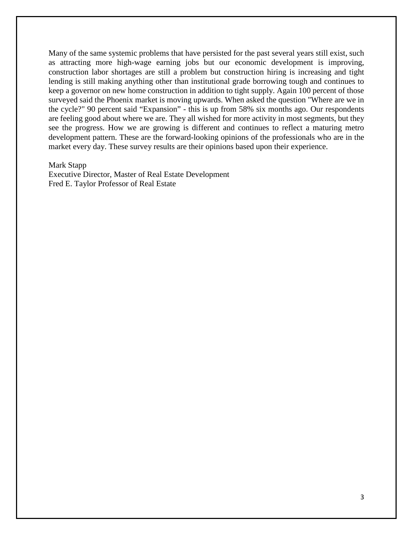Many of the same systemic problems that have persisted for the past several years still exist, such as attracting more high-wage earning jobs but our economic development is improving, construction labor shortages are still a problem but construction hiring is increasing and tight lending is still making anything other than institutional grade borrowing tough and continues to keep a governor on new home construction in addition to tight supply. Again 100 percent of those surveyed said the Phoenix market is moving upwards. When asked the question "Where are we in the cycle?" 90 percent said "Expansion" - this is up from 58% six months ago. Our respondents are feeling good about where we are. They all wished for more activity in most segments, but they see the progress. How we are growing is different and continues to reflect a maturing metro development pattern. These are the forward-looking opinions of the professionals who are in the market every day. These survey results are their opinions based upon their experience.

#### Mark Stapp

Executive Director, Master of Real Estate Development Fred E. Taylor Professor of Real Estate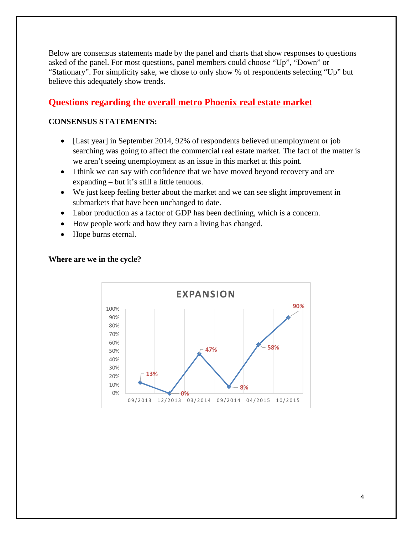Below are consensus statements made by the panel and charts that show responses to questions asked of the panel. For most questions, panel members could choose "Up", "Down" or "Stationary". For simplicity sake, we chose to only show % of respondents selecting "Up" but believe this adequately show trends.

## **Questions regarding the overall metro Phoenix real estate market**

#### **CONSENSUS STATEMENTS:**

- [Last year] in September 2014, 92% of respondents believed unemployment or job searching was going to affect the commercial real estate market. The fact of the matter is we aren't seeing unemployment as an issue in this market at this point.
- I think we can say with confidence that we have moved beyond recovery and are expanding – but it's still a little tenuous.
- We just keep feeling better about the market and we can see slight improvement in submarkets that have been unchanged to date.
- Labor production as a factor of GDP has been declining, which is a concern.
- How people work and how they earn a living has changed.
- Hope burns eternal.



#### **Where are we in the cycle?**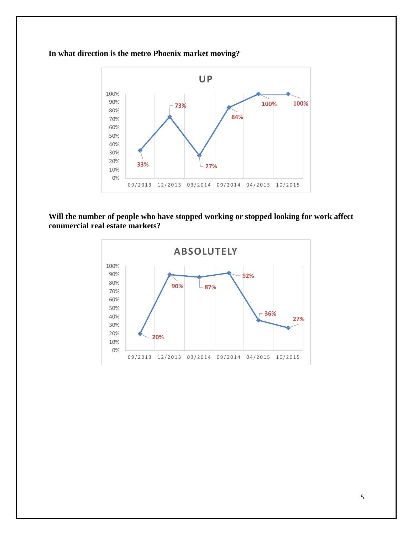#### **33% 73% 27% 84% 100% 100%** 0% 10% 20% 30% 40% 50% 60% 70% 80% 90% 100% 09/2013 12/2013 03/2014 09/2014 04/2015 10/2015 **UP**

## **In what direction is the metro Phoenix market moving?**

**Will the number of people who have stopped working or stopped looking for work affect commercial real estate markets?**

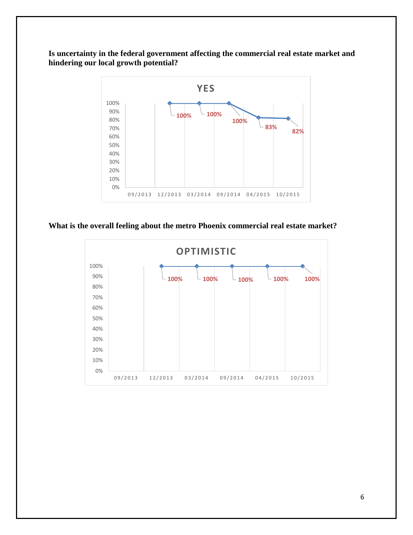**Is uncertainty in the federal government affecting the commercial real estate market and hindering our local growth potential?**



#### **What is the overall feeling about the metro Phoenix commercial real estate market?**

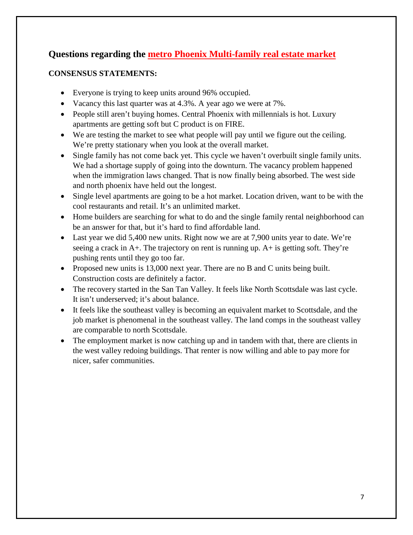## **Questions regarding the metro Phoenix Multi-family real estate market**

- Everyone is trying to keep units around 96% occupied.
- Vacancy this last quarter was at 4.3%. A year ago we were at 7%.
- People still aren't buying homes. Central Phoenix with millennials is hot. Luxury apartments are getting soft but C product is on FIRE.
- We are testing the market to see what people will pay until we figure out the ceiling. We're pretty stationary when you look at the overall market.
- Single family has not come back yet. This cycle we haven't overbuilt single family units. We had a shortage supply of going into the downturn. The vacancy problem happened when the immigration laws changed. That is now finally being absorbed. The west side and north phoenix have held out the longest.
- Single level apartments are going to be a hot market. Location driven, want to be with the cool restaurants and retail. It's an unlimited market.
- Home builders are searching for what to do and the single family rental neighborhood can be an answer for that, but it's hard to find affordable land.
- Last year we did 5,400 new units. Right now we are at 7,900 units year to date. We're seeing a crack in A+. The trajectory on rent is running up. A+ is getting soft. They're pushing rents until they go too far.
- Proposed new units is 13,000 next year. There are no B and C units being built. Construction costs are definitely a factor.
- The recovery started in the San Tan Valley. It feels like North Scottsdale was last cycle. It isn't underserved; it's about balance.
- It feels like the southeast valley is becoming an equivalent market to Scottsdale, and the job market is phenomenal in the southeast valley. The land comps in the southeast valley are comparable to north Scottsdale.
- The employment market is now catching up and in tandem with that, there are clients in the west valley redoing buildings. That renter is now willing and able to pay more for nicer, safer communities.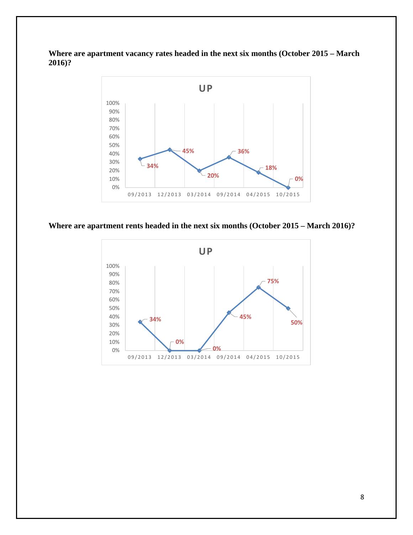**Where are apartment vacancy rates headed in the next six months (October 2015 – March 2016)?**



#### **Where are apartment rents headed in the next six months (October 2015 – March 2016)?**

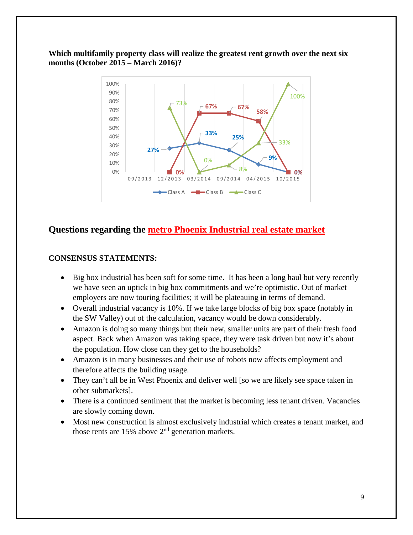#### **Which multifamily property class will realize the greatest rent growth over the next six months (October 2015 – March 2016)?**



## **Questions regarding the metro Phoenix Industrial real estate market**

- Big box industrial has been soft for some time. It has been a long haul but very recently we have seen an uptick in big box commitments and we're optimistic. Out of market employers are now touring facilities; it will be plateauing in terms of demand.
- Overall industrial vacancy is 10%. If we take large blocks of big box space (notably in the SW Valley) out of the calculation, vacancy would be down considerably.
- Amazon is doing so many things but their new, smaller units are part of their fresh food aspect. Back when Amazon was taking space, they were task driven but now it's about the population. How close can they get to the households?
- Amazon is in many businesses and their use of robots now affects employment and therefore affects the building usage.
- They can't all be in West Phoenix and deliver well [so we are likely see space taken in other submarkets].
- There is a continued sentiment that the market is becoming less tenant driven. Vacancies are slowly coming down.
- Most new construction is almost exclusively industrial which creates a tenant market, and those rents are  $15%$  above  $2<sup>nd</sup>$  generation markets.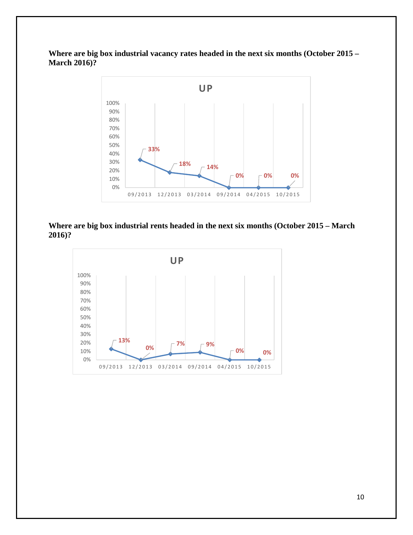**Where are big box industrial vacancy rates headed in the next six months (October 2015 – March 2016)?**



#### **Where are big box industrial rents headed in the next six months (October 2015 – March 2016)?**

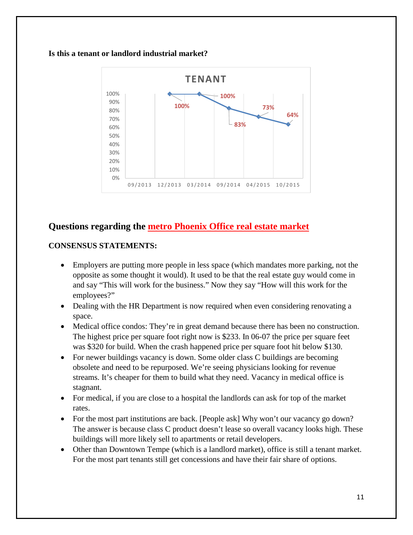#### **Is this a tenant or landlord industrial market?**



## **Questions regarding the metro Phoenix Office real estate market**

- Employers are putting more people in less space (which mandates more parking, not the opposite as some thought it would). It used to be that the real estate guy would come in and say "This will work for the business." Now they say "How will this work for the employees?"
- Dealing with the HR Department is now required when even considering renovating a space.
- Medical office condos: They're in great demand because there has been no construction. The highest price per square foot right now is \$233. In 06-07 the price per square feet was \$320 for build. When the crash happened price per square foot hit below \$130.
- For newer buildings vacancy is down. Some older class C buildings are becoming obsolete and need to be repurposed. We're seeing physicians looking for revenue streams. It's cheaper for them to build what they need. Vacancy in medical office is stagnant.
- For medical, if you are close to a hospital the landlords can ask for top of the market rates.
- For the most part institutions are back. [People ask] Why won't our vacancy go down? The answer is because class C product doesn't lease so overall vacancy looks high. These buildings will more likely sell to apartments or retail developers.
- Other than Downtown Tempe (which is a landlord market), office is still a tenant market. For the most part tenants still get concessions and have their fair share of options.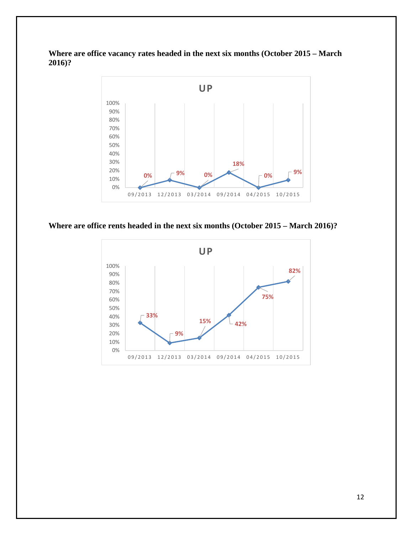**Where are office vacancy rates headed in the next six months (October 2015 – March 2016)?**



**Where are office rents headed in the next six months (October 2015 – March 2016)?**

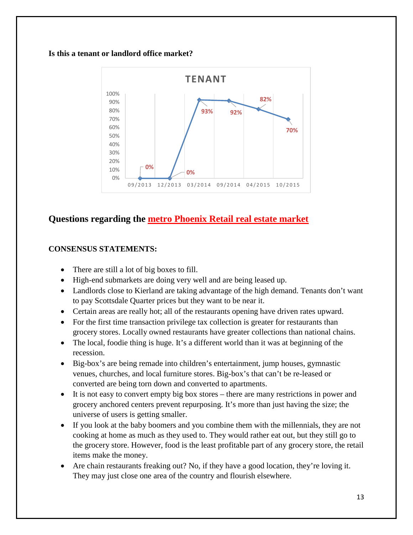#### **Is this a tenant or landlord office market?**



## **Questions regarding the metro Phoenix Retail real estate market**

- There are still a lot of big boxes to fill.
- High-end submarkets are doing very well and are being leased up.
- Landlords close to Kierland are taking advantage of the high demand. Tenants don't want to pay Scottsdale Quarter prices but they want to be near it.
- Certain areas are really hot; all of the restaurants opening have driven rates upward.
- For the first time transaction privilege tax collection is greater for restaurants than grocery stores. Locally owned restaurants have greater collections than national chains.
- The local, foodie thing is huge. It's a different world than it was at beginning of the recession.
- Big-box's are being remade into children's entertainment, jump houses, gymnastic venues, churches, and local furniture stores. Big-box's that can't be re-leased or converted are being torn down and converted to apartments.
- It is not easy to convert empty big box stores there are many restrictions in power and grocery anchored centers prevent repurposing. It's more than just having the size; the universe of users is getting smaller.
- If you look at the baby boomers and you combine them with the millennials, they are not cooking at home as much as they used to. They would rather eat out, but they still go to the grocery store. However, food is the least profitable part of any grocery store, the retail items make the money.
- Are chain restaurants freaking out? No, if they have a good location, they're loving it. They may just close one area of the country and flourish elsewhere.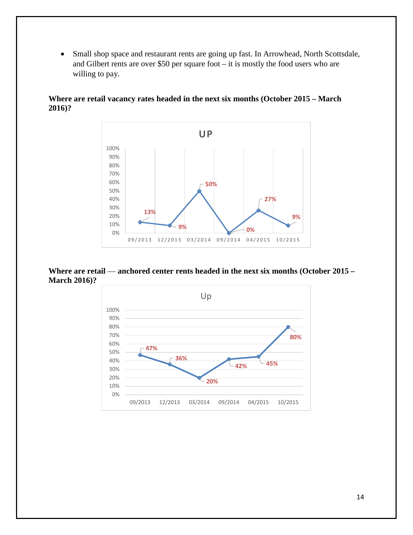• Small shop space and restaurant rents are going up fast. In Arrowhead, North Scottsdale, and Gilbert rents are over \$50 per square foot – it is mostly the food users who are willing to pay.



**Where are retail vacancy rates headed in the next six months (October 2015 – March 2016)?**

**Where are retail — anchored center rents headed in the next six months (October 2015 – March 2016)?**

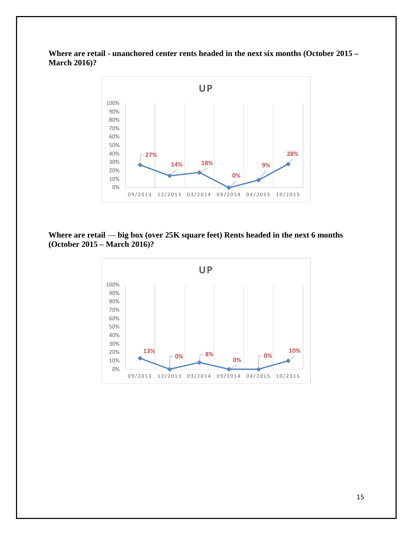**Where are retail - unanchored center rents headed in the next six months (October 2015 – March 2016)?**



## **Where are retail — big box (over 25K square feet) Rents headed in the next 6 months (October 2015 – March 2016)?**

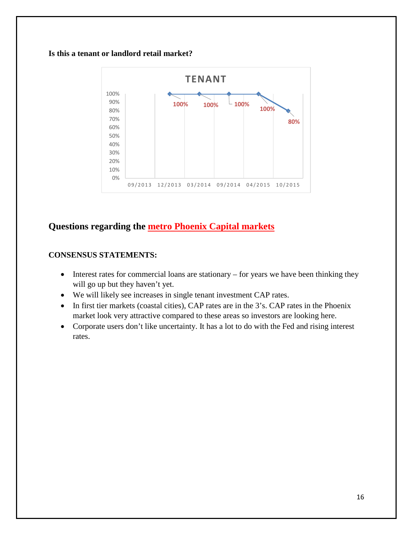#### **Is this a tenant or landlord retail market?**



## **Questions regarding the metro Phoenix Capital markets**

- Interest rates for commercial loans are stationary for years we have been thinking they will go up but they haven't yet.
- We will likely see increases in single tenant investment CAP rates.
- In first tier markets (coastal cities), CAP rates are in the 3's. CAP rates in the Phoenix market look very attractive compared to these areas so investors are looking here.
- Corporate users don't like uncertainty. It has a lot to do with the Fed and rising interest rates.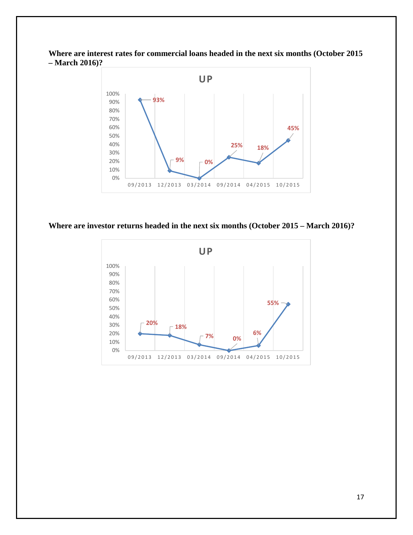**Where are interest rates for commercial loans headed in the next six months (October 2015 – March 2016)?**



#### **Where are investor returns headed in the next six months (October 2015 – March 2016)?**

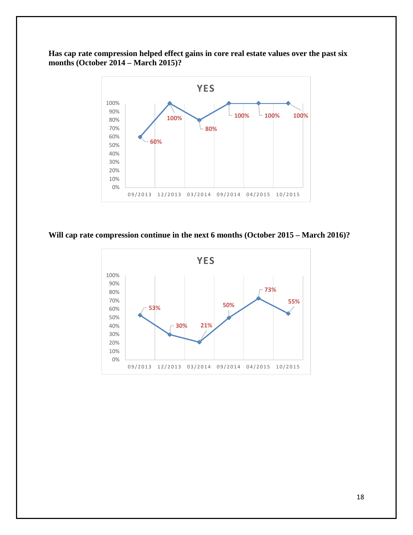**Has cap rate compression helped effect gains in core real estate values over the past six months (October 2014 – March 2015)?**



## **Will cap rate compression continue in the next 6 months (October 2015 – March 2016)?**

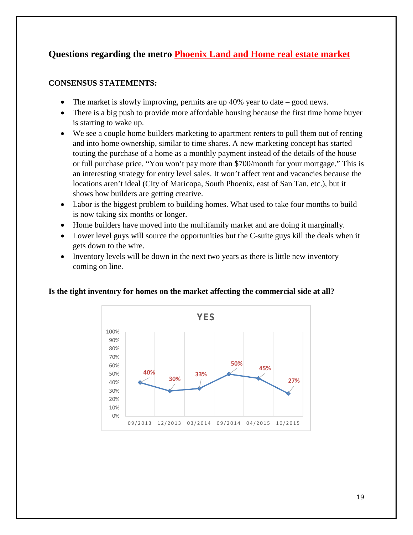## **Questions regarding the metro Phoenix Land and Home real estate market**

#### **CONSENSUS STATEMENTS:**

- The market is slowly improving, permits are up 40% year to date good news.
- There is a big push to provide more affordable housing because the first time home buyer is starting to wake up.
- We see a couple home builders marketing to apartment renters to pull them out of renting and into home ownership, similar to time shares. A new marketing concept has started touting the purchase of a home as a monthly payment instead of the details of the house or full purchase price. "You won't pay more than \$700/month for your mortgage." This is an interesting strategy for entry level sales. It won't affect rent and vacancies because the locations aren't ideal (City of Maricopa, South Phoenix, east of San Tan, etc.), but it shows how builders are getting creative.
- Labor is the biggest problem to building homes. What used to take four months to build is now taking six months or longer.
- Home builders have moved into the multifamily market and are doing it marginally.
- Lower level guys will source the opportunities but the C-suite guys kill the deals when it gets down to the wire.
- Inventory levels will be down in the next two years as there is little new inventory coming on line.

#### **Is the tight inventory for homes on the market affecting the commercial side at all?**

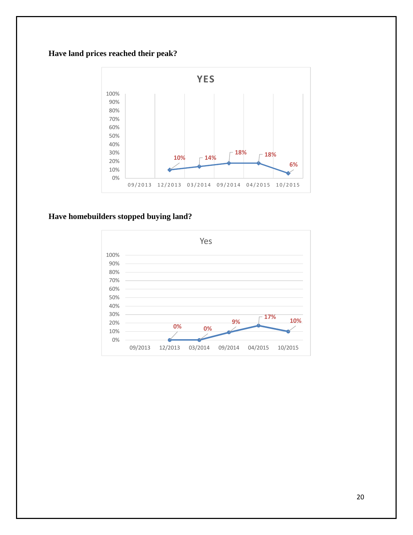## **Have land prices reached their peak?**



#### **Have homebuilders stopped buying land?**